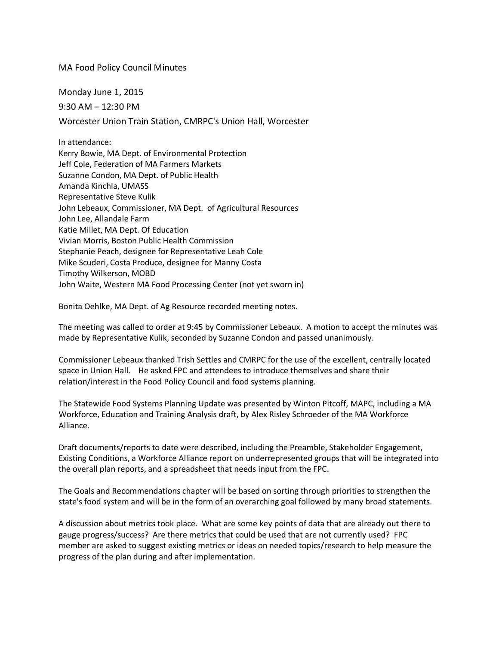## MA Food Policy Council Minutes

Monday June 1, 2015 9:30 AM – 12:30 PM Worcester Union Train Station, CMRPC's Union Hall, Worcester

In attendance: Kerry Bowie, MA Dept. of Environmental Protection Jeff Cole, Federation of MA Farmers Markets Suzanne Condon, MA Dept. of Public Health Amanda Kinchla, UMASS Representative Steve Kulik John Lebeaux, Commissioner, MA Dept. of Agricultural Resources John Lee, Allandale Farm Katie Millet, MA Dept. Of Education Vivian Morris, Boston Public Health Commission Stephanie Peach, designee for Representative Leah Cole Mike Scuderi, Costa Produce, designee for Manny Costa Timothy Wilkerson, MOBD John Waite, Western MA Food Processing Center (not yet sworn in)

Bonita Oehlke, MA Dept. of Ag Resource recorded meeting notes.

The meeting was called to order at 9:45 by Commissioner Lebeaux. A motion to accept the minutes was made by Representative Kulik, seconded by Suzanne Condon and passed unanimously.

Commissioner Lebeaux thanked Trish Settles and CMRPC for the use of the excellent, centrally located space in Union Hall. He asked FPC and attendees to introduce themselves and share their relation/interest in the Food Policy Council and food systems planning.

The Statewide Food Systems Planning Update was presented by Winton Pitcoff, MAPC, including a MA Workforce, Education and Training Analysis draft, by Alex Risley Schroeder of the MA Workforce Alliance.

Draft documents/reports to date were described, including the Preamble, Stakeholder Engagement, Existing Conditions, a Workforce Alliance report on underrepresented groups that will be integrated into the overall plan reports, and a spreadsheet that needs input from the FPC.

The Goals and Recommendations chapter will be based on sorting through priorities to strengthen the state's food system and will be in the form of an overarching goal followed by many broad statements.

A discussion about metrics took place. What are some key points of data that are already out there to gauge progress/success? Are there metrics that could be used that are not currently used? FPC member are asked to suggest existing metrics or ideas on needed topics/research to help measure the progress of the plan during and after implementation.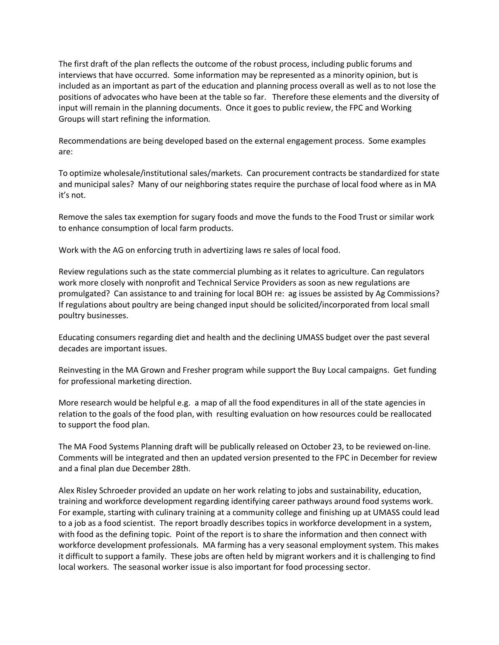The first draft of the plan reflects the outcome of the robust process, including public forums and interviews that have occurred. Some information may be represented as a minority opinion, but is included as an important as part of the education and planning process overall as well as to not lose the positions of advocates who have been at the table so far. Therefore these elements and the diversity of input will remain in the planning documents. Once it goes to public review, the FPC and Working Groups will start refining the information.

Recommendations are being developed based on the external engagement process. Some examples are:

To optimize wholesale/institutional sales/markets. Can procurement contracts be standardized for state and municipal sales? Many of our neighboring states require the purchase of local food where as in MA it's not.

Remove the sales tax exemption for sugary foods and move the funds to the Food Trust or similar work to enhance consumption of local farm products.

Work with the AG on enforcing truth in advertizing laws re sales of local food.

Review regulations such as the state commercial plumbing as it relates to agriculture. Can regulators work more closely with nonprofit and Technical Service Providers as soon as new regulations are promulgated? Can assistance to and training for local BOH re: ag issues be assisted by Ag Commissions? If regulations about poultry are being changed input should be solicited/incorporated from local small poultry businesses.

Educating consumers regarding diet and health and the declining UMASS budget over the past several decades are important issues.

Reinvesting in the MA Grown and Fresher program while support the Buy Local campaigns. Get funding for professional marketing direction.

More research would be helpful e.g. a map of all the food expenditures in all of the state agencies in relation to the goals of the food plan, with resulting evaluation on how resources could be reallocated to support the food plan.

The MA Food Systems Planning draft will be publically released on October 23, to be reviewed on-line. Comments will be integrated and then an updated version presented to the FPC in December for review and a final plan due December 28th.

Alex Risley Schroeder provided an update on her work relating to jobs and sustainability, education, training and workforce development regarding identifying career pathways around food systems work. For example, starting with culinary training at a community college and finishing up at UMASS could lead to a job as a food scientist. The report broadly describes topics in workforce development in a system, with food as the defining topic. Point of the report is to share the information and then connect with workforce development professionals. MA farming has a very seasonal employment system. This makes it difficult to support a family. These jobs are often held by migrant workers and it is challenging to find local workers. The seasonal worker issue is also important for food processing sector.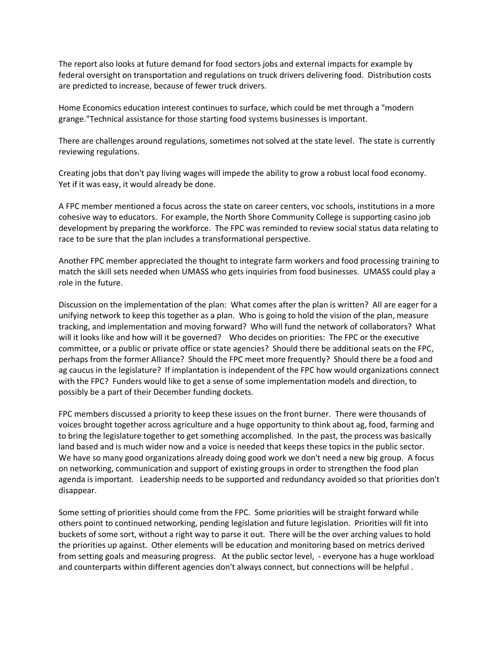The report also looks at future demand for food sectors jobs and external impacts for example by federal oversight on transportation and regulations on truck drivers delivering food. Distribution costs are predicted to increase, because of fewer truck drivers.

Home Economics education interest continues to surface, which could be met through a "modern grange."Technical assistance for those starting food systems businesses is important.

There are challenges around regulations, sometimes not solved at the state level. The state is currently reviewing regulations.

Creating jobs that don't pay living wages will impede the ability to grow a robust local food economy. Yet if it was easy, it would already be done.

A FPC member mentioned a focus across the state on career centers, voc schools, institutions in a more cohesive way to educators. For example, the North Shore Community College is supporting casino job development by preparing the workforce. The FPC was reminded to review social status data relating to race to be sure that the plan includes a transformational perspective.

Another FPC member appreciated the thought to integrate farm workers and food processing training to match the skill sets needed when UMASS who gets inquiries from food businesses. UMASS could play a role in the future.

Discussion on the implementation of the plan: What comes after the plan is written? All are eager for a unifying network to keep this together as a plan. Who is going to hold the vision of the plan, measure tracking, and implementation and moving forward? Who will fund the network of collaborators? What will it looks like and how will it be governed? Who decides on priorities: The FPC or the executive committee, or a public or private office or state agencies? Should there be additional seats on the FPC, perhaps from the former Alliance? Should the FPC meet more frequently? Should there be a food and ag caucus in the legislature? If implantation is independent of the FPC how would organizations connect with the FPC? Funders would like to get a sense of some implementation models and direction, to possibly be a part of their December funding dockets.

FPC members discussed a priority to keep these issues on the front burner. There were thousands of voices brought together across agriculture and a huge opportunity to think about ag, food, farming and to bring the legislature together to get something accomplished. In the past, the process was basically land based and is much wider now and a voice is needed that keeps these topics in the public sector. We have so many good organizations already doing good work we don't need a new big group. A focus on networking, communication and support of existing groups in order to strengthen the food plan agenda is important. Leadership needs to be supported and redundancy avoided so that priorities don't disappear.

Some setting of priorities should come from the FPC. Some priorities will be straight forward while others point to continued networking, pending legislation and future legislation. Priorities will fit into buckets of some sort, without a right way to parse it out. There will be the over arching values to hold the priorities up against. Other elements will be education and monitoring based on metrics derived from setting goals and measuring progress. At the public sector level, - everyone has a huge workload and counterparts within different agencies don't always connect, but connections will be helpful .